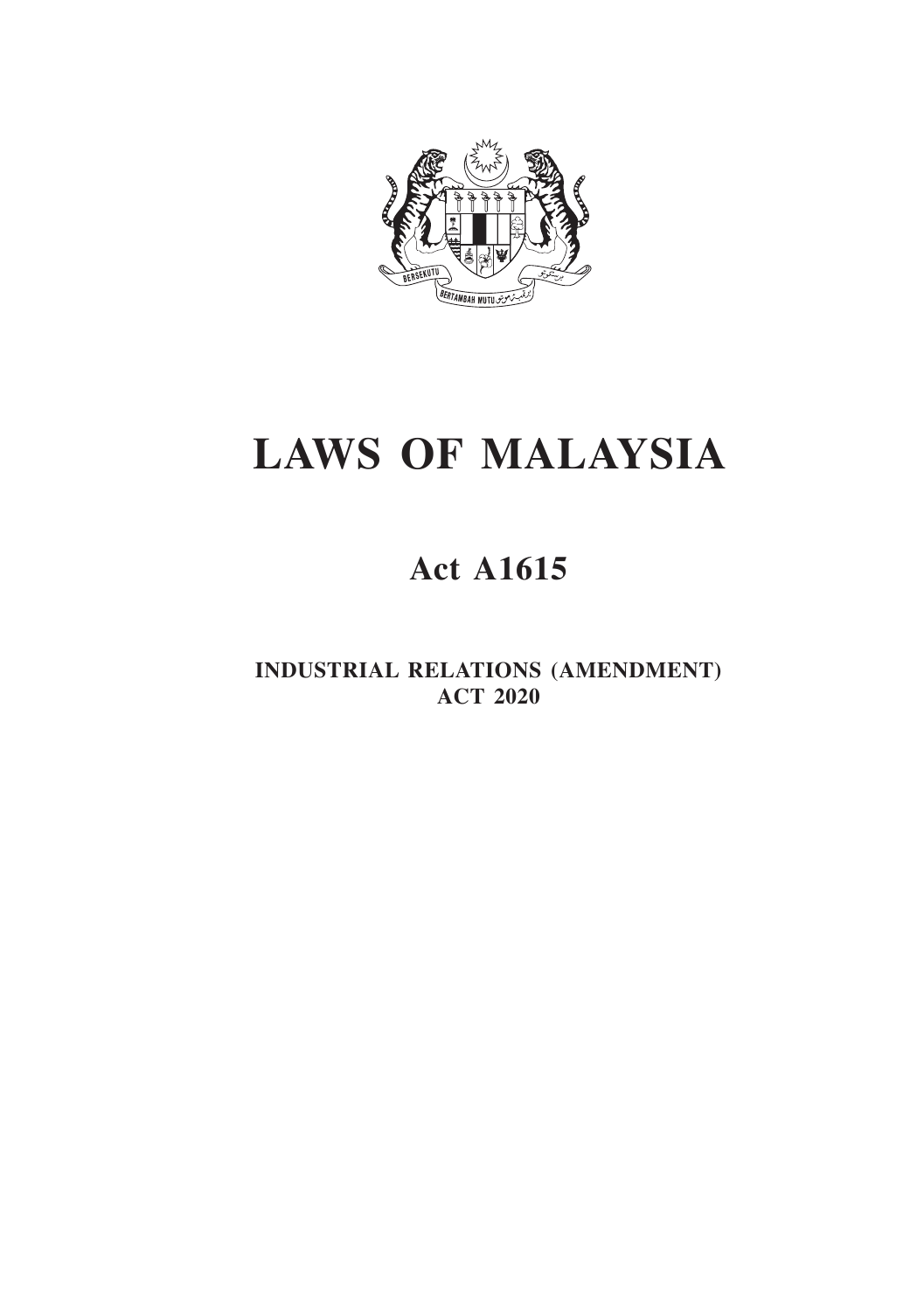

# **LAWS OF MALAYSIA**

## **Act A1615**

**INDUSTRIAL RELATIONS (AMENDMENT) ACT 2020**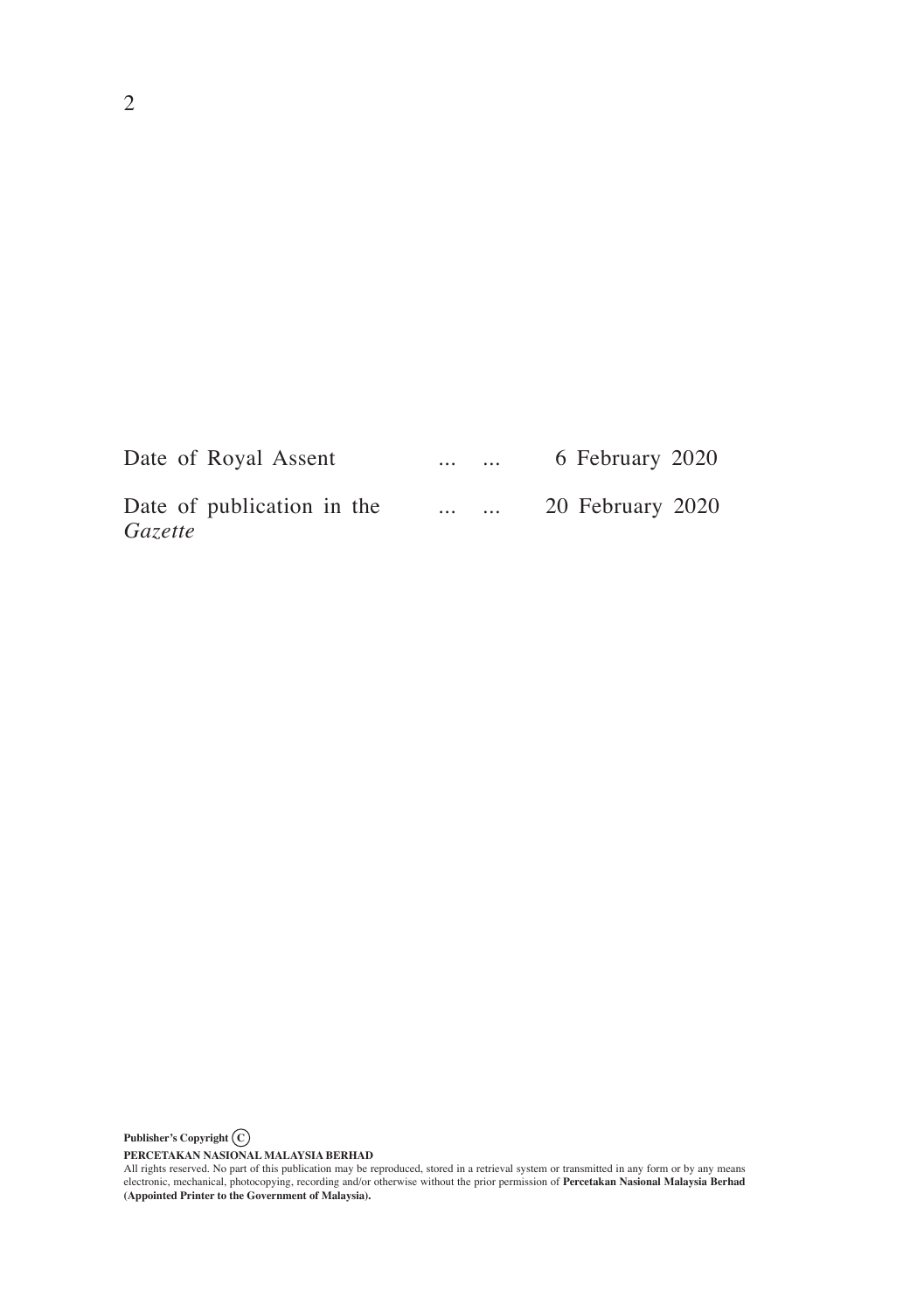| Date of Royal Assent                  | $\cdots$                  | $\cdots$ | 6 February 2020  |
|---------------------------------------|---------------------------|----------|------------------|
| Date of publication in the<br>Gazette | $\sim$ 100 km s $^{-1}$ . | $\cdots$ | 20 February 2020 |

**Publisher's Copyright C**

PERCETAKAN NASIONAL MALAYSIA BERHAD<br>All rights reserved. No part of this publication may be reproduced, stored in a retrieval system or transmitted in any form or by any means<br>electronic, mechanical, photocopying, recordin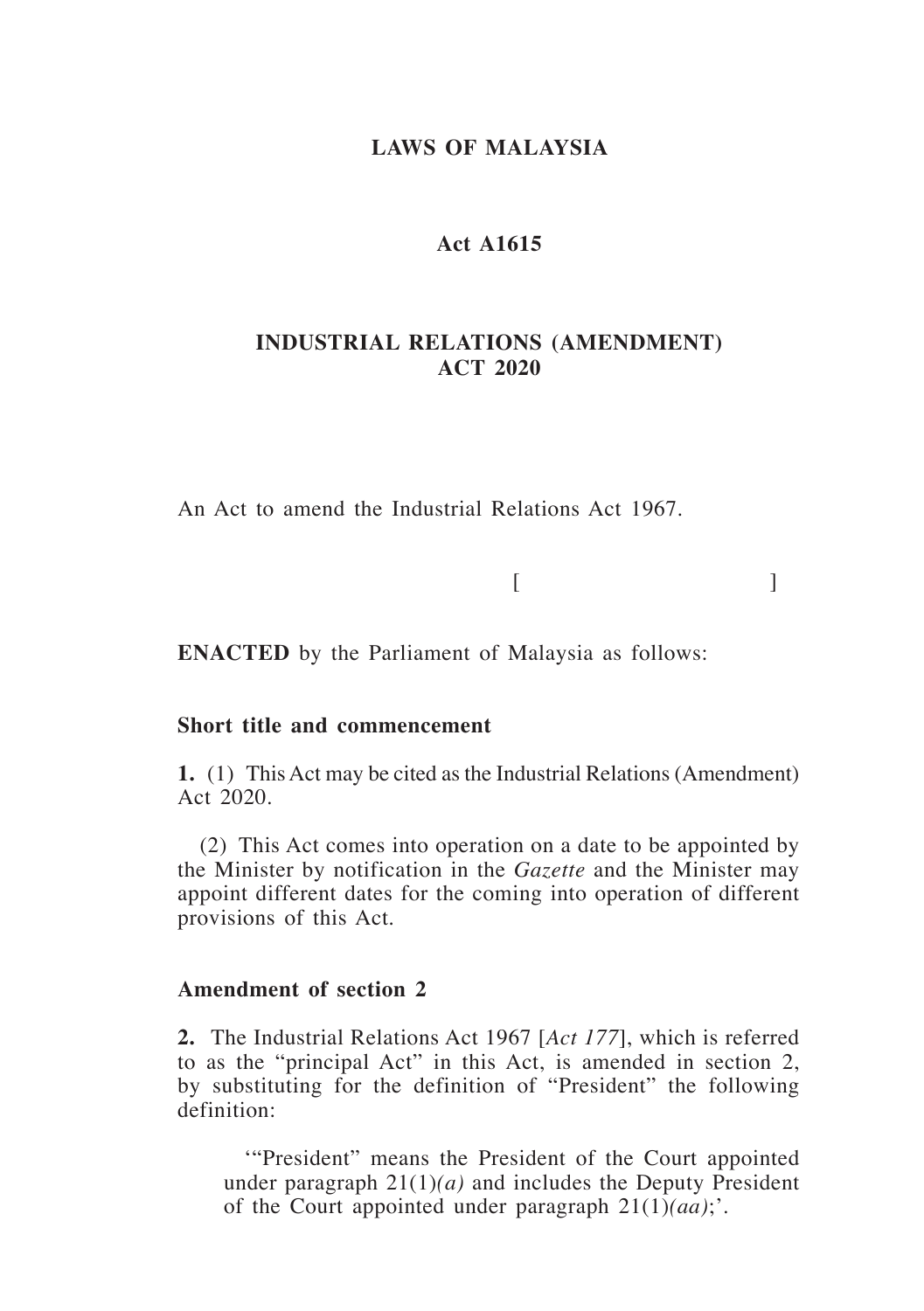## **LAWS OF MALAYSIA**

## **Act A1615**

## **INDUSTRIAL RELATIONS (AMENDMENT) ACT 2020**

An Act to amend the Industrial Relations Act 1967.

 $[$ 

**ENACTED** by the Parliament of Malaysia as follows:

#### **Short title and commencement**

**1.** (1) This Act may be cited as the Industrial Relations (Amendment) Act 2020.

(2) This Act comes into operation on a date to be appointed by the Minister by notification in the *Gazette* and the Minister may appoint different dates for the coming into operation of different provisions of this Act.

#### **Amendment of section 2**

**2.** The Industrial Relations Act 1967 [*Act 177*], which is referred to as the "principal Act" in this Act, is amended in section 2, by substituting for the definition of "President" the following definition:

'"President" means the President of the Court appointed under paragraph 21(1)*(a)* and includes the Deputy President of the Court appointed under paragraph 21(1)*(aa)*;'.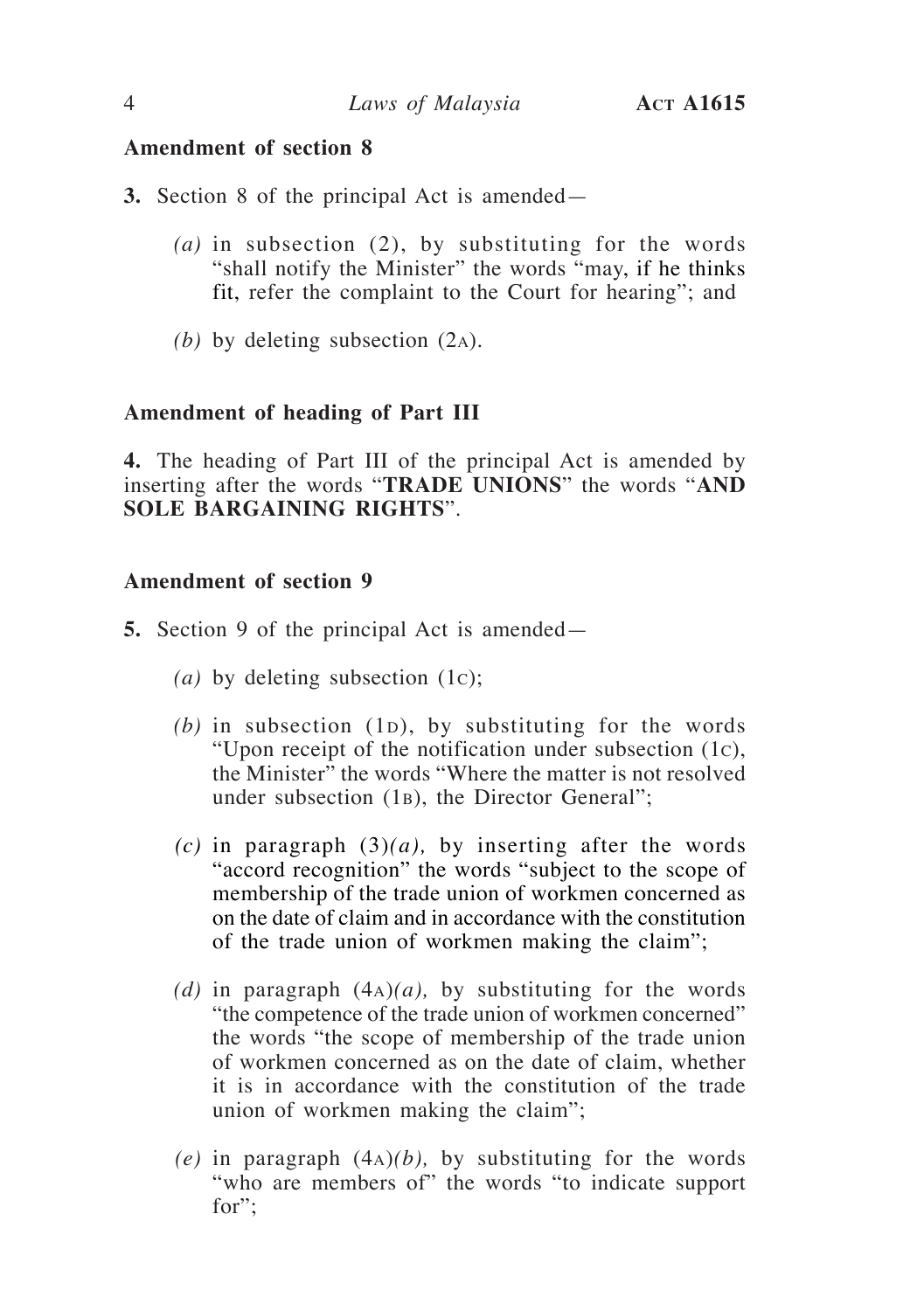- **3.** Section 8 of the principal Act is amended—
	- *(a)* in subsection (2), by substituting for the words "shall notify the Minister" the words "may, if he thinks fit, refer the complaint to the Court for hearing"; and
	- *(b)* by deleting subsection (2a).

#### **Amendment of heading of Part III**

**4.** The heading of Part III of the principal Act is amended by inserting after the words "**TRADE UNIONS**" the words "**AND SOLE BARGAINING RIGHTS**".

- **5.** Section 9 of the principal Act is amended—
	- *(a)* by deleting subsection (1c);
	- $(b)$  in subsection  $(1D)$ , by substituting for the words "Upon receipt of the notification under subsection (1c), the Minister" the words "Where the matter is not resolved under subsection (1b), the Director General";
	- $(c)$  in paragraph  $(3)(a)$ , by inserting after the words "accord recognition" the words "subject to the scope of membership of the trade union of workmen concerned as on the date of claim and in accordance with the constitution of the trade union of workmen making the claim";
	- *(d)* in paragraph (4a)*(a),* by substituting for the words "the competence of the trade union of workmen concerned" the words "the scope of membership of the trade union of workmen concerned as on the date of claim, whether it is in accordance with the constitution of the trade union of workmen making the claim";
	- *(e)* in paragraph (4a)*(b),* by substituting for the words "who are members of" the words "to indicate support for";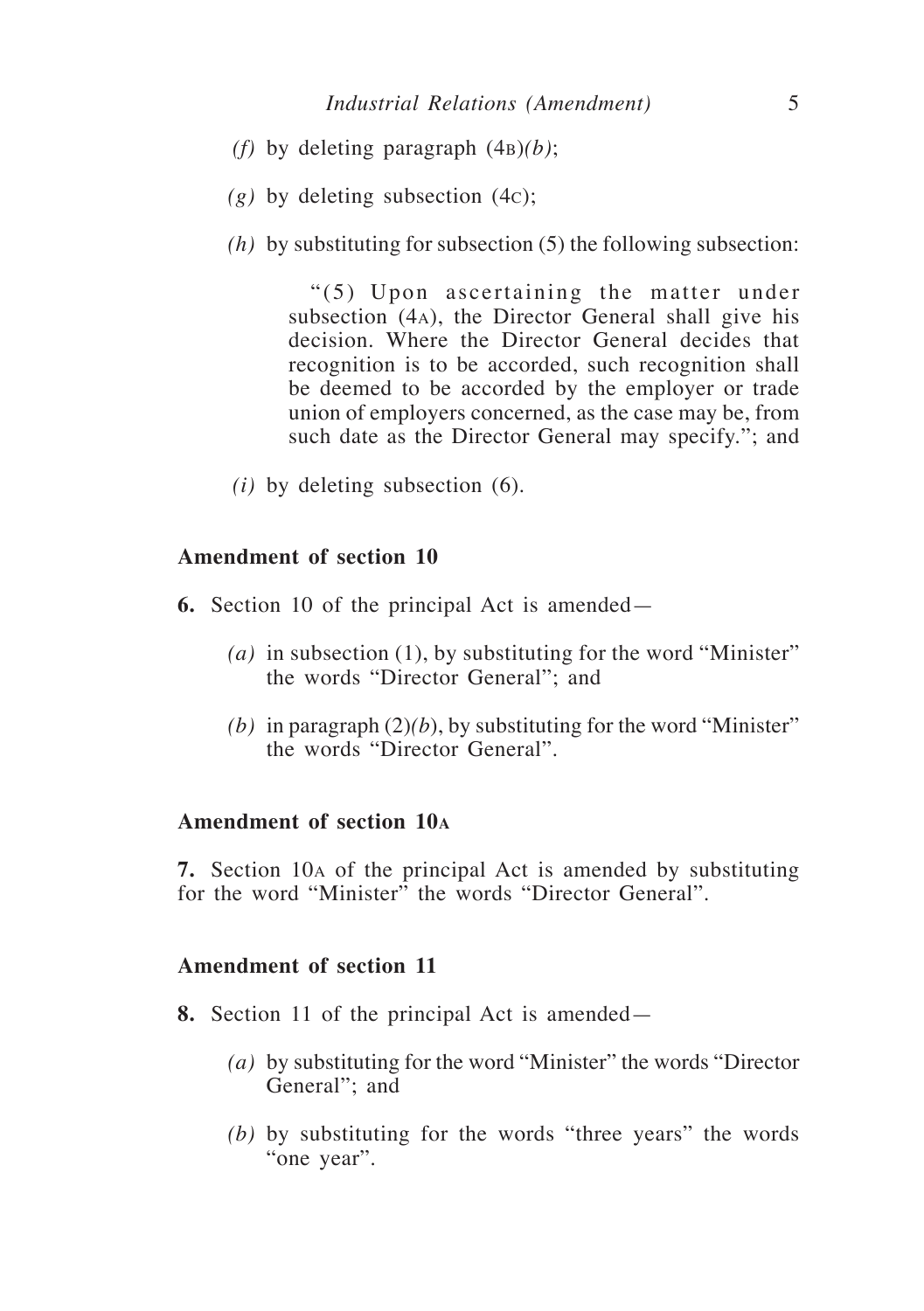- *(f)* by deleting paragraph (4b)*(b)*;
- *(g)* by deleting subsection (4c);
- *(h)* by substituting for subsection (5) the following subsection:

"(5) Upon ascertaining the matter under subsection (4a), the Director General shall give his decision. Where the Director General decides that recognition is to be accorded, such recognition shall be deemed to be accorded by the employer or trade union of employers concerned, as the case may be, from such date as the Director General may specify."; and

*(i)* by deleting subsection (6).

## **Amendment of section 10**

- **6.** Section 10 of the principal Act is amended—
	- *(a)* in subsection (1), by substituting for the word "Minister" the words "Director General"; and
	- (b) in paragraph  $(2)(b)$ , by substituting for the word "Minister" the words "Director General".

#### **Amendment of section 10<sup>a</sup>**

**7.** Section 10a of the principal Act is amended by substituting for the word "Minister" the words "Director General".

- **8.** Section 11 of the principal Act is amended—
	- *(a)* by substituting for the word "Minister" the words "Director General"; and
	- *(b)* by substituting for the words "three years" the words "one year".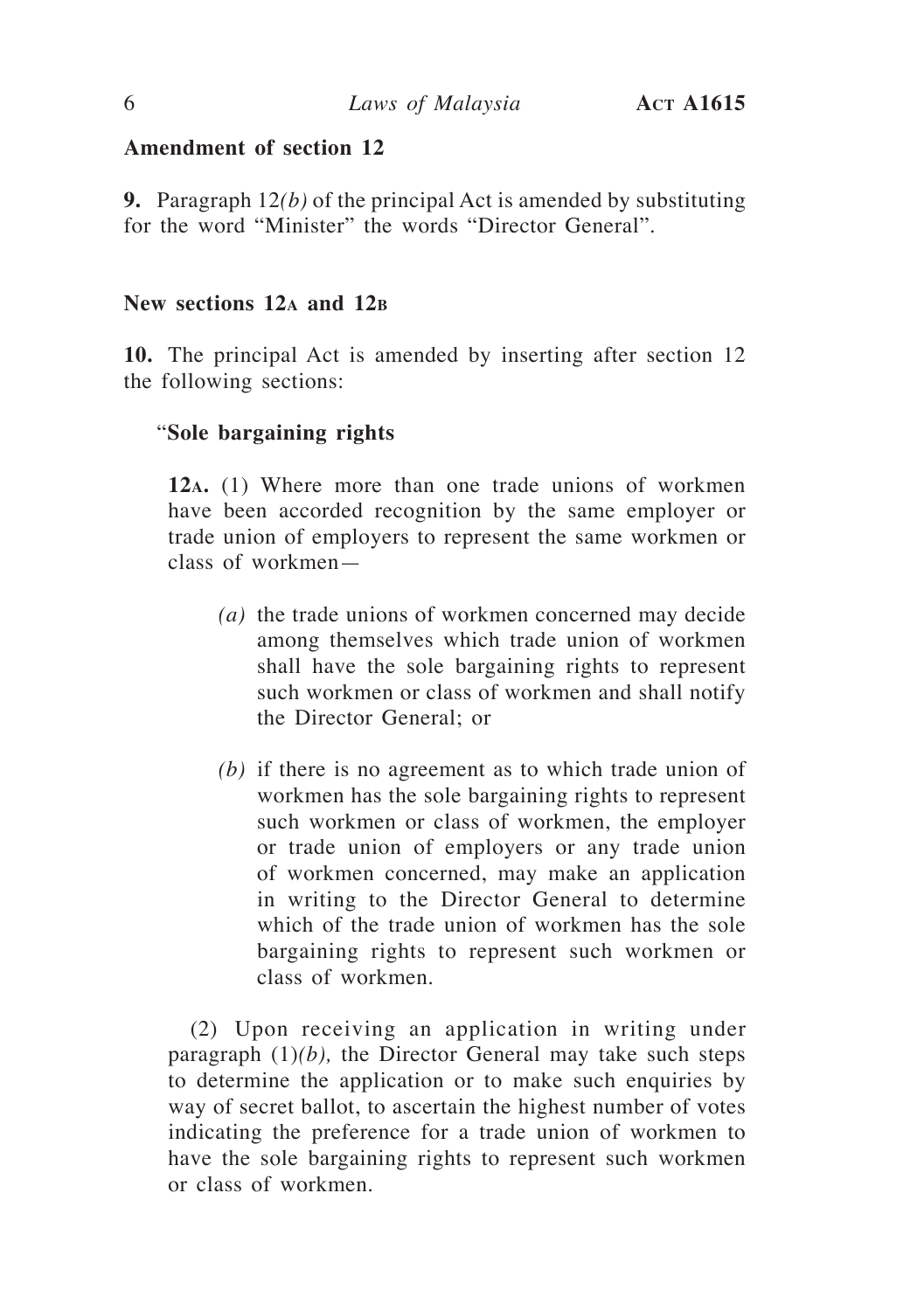**9.** Paragraph 12*(b)* of the principal Act is amended by substituting for the word "Minister" the words "Director General".

## **New sections 12a and 12b**

**10.** The principal Act is amended by inserting after section 12 the following sections:

## "**Sole bargaining rights**

**12a.** (1) Where more than one trade unions of workmen have been accorded recognition by the same employer or trade union of employers to represent the same workmen or class of workmen—

- *(a)* the trade unions of workmen concerned may decide among themselves which trade union of workmen shall have the sole bargaining rights to represent such workmen or class of workmen and shall notify the Director General; or
- *(b)* if there is no agreement as to which trade union of workmen has the sole bargaining rights to represent such workmen or class of workmen, the employer or trade union of employers or any trade union of workmen concerned, may make an application in writing to the Director General to determine which of the trade union of workmen has the sole bargaining rights to represent such workmen or class of workmen.

(2) Upon receiving an application in writing under paragraph  $(1)(b)$ , the Director General may take such steps to determine the application or to make such enquiries by way of secret ballot, to ascertain the highest number of votes indicating the preference for a trade union of workmen to have the sole bargaining rights to represent such workmen or class of workmen.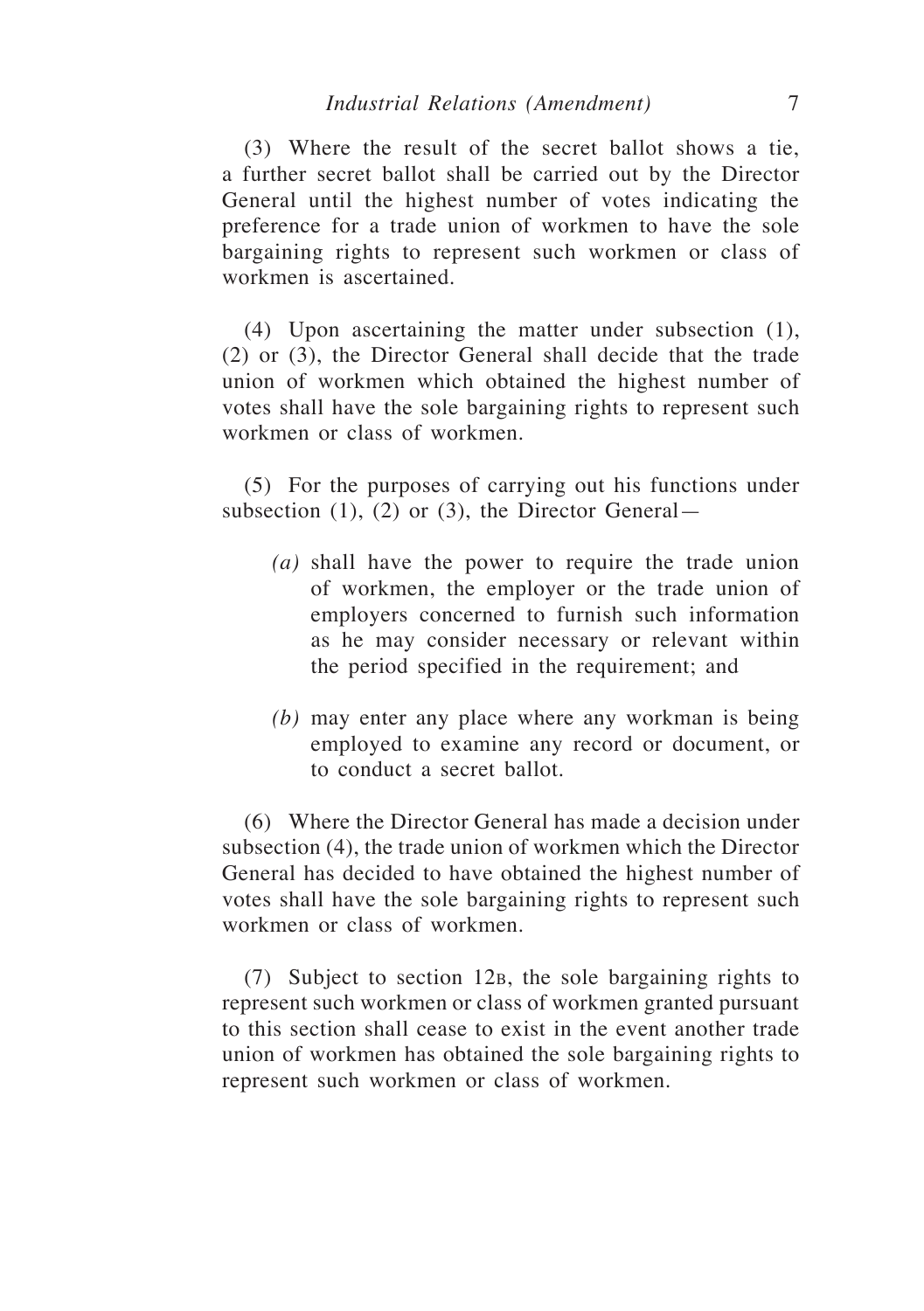(3) Where the result of the secret ballot shows a tie, a further secret ballot shall be carried out by the Director General until the highest number of votes indicating the preference for a trade union of workmen to have the sole bargaining rights to represent such workmen or class of workmen is ascertained.

(4) Upon ascertaining the matter under subsection (1), (2) or (3), the Director General shall decide that the trade union of workmen which obtained the highest number of votes shall have the sole bargaining rights to represent such workmen or class of workmen.

(5) For the purposes of carrying out his functions under subsection  $(1)$ ,  $(2)$  or  $(3)$ , the Director General—

- *(a)* shall have the power to require the trade union of workmen, the employer or the trade union of employers concerned to furnish such information as he may consider necessary or relevant within the period specified in the requirement; and
- *(b)* may enter any place where any workman is being employed to examine any record or document, or to conduct a secret ballot.

(6) Where the Director General has made a decision under subsection (4), the trade union of workmen which the Director General has decided to have obtained the highest number of votes shall have the sole bargaining rights to represent such workmen or class of workmen.

(7) Subject to section 12b, the sole bargaining rights to represent such workmen or class of workmen granted pursuant to this section shall cease to exist in the event another trade union of workmen has obtained the sole bargaining rights to represent such workmen or class of workmen.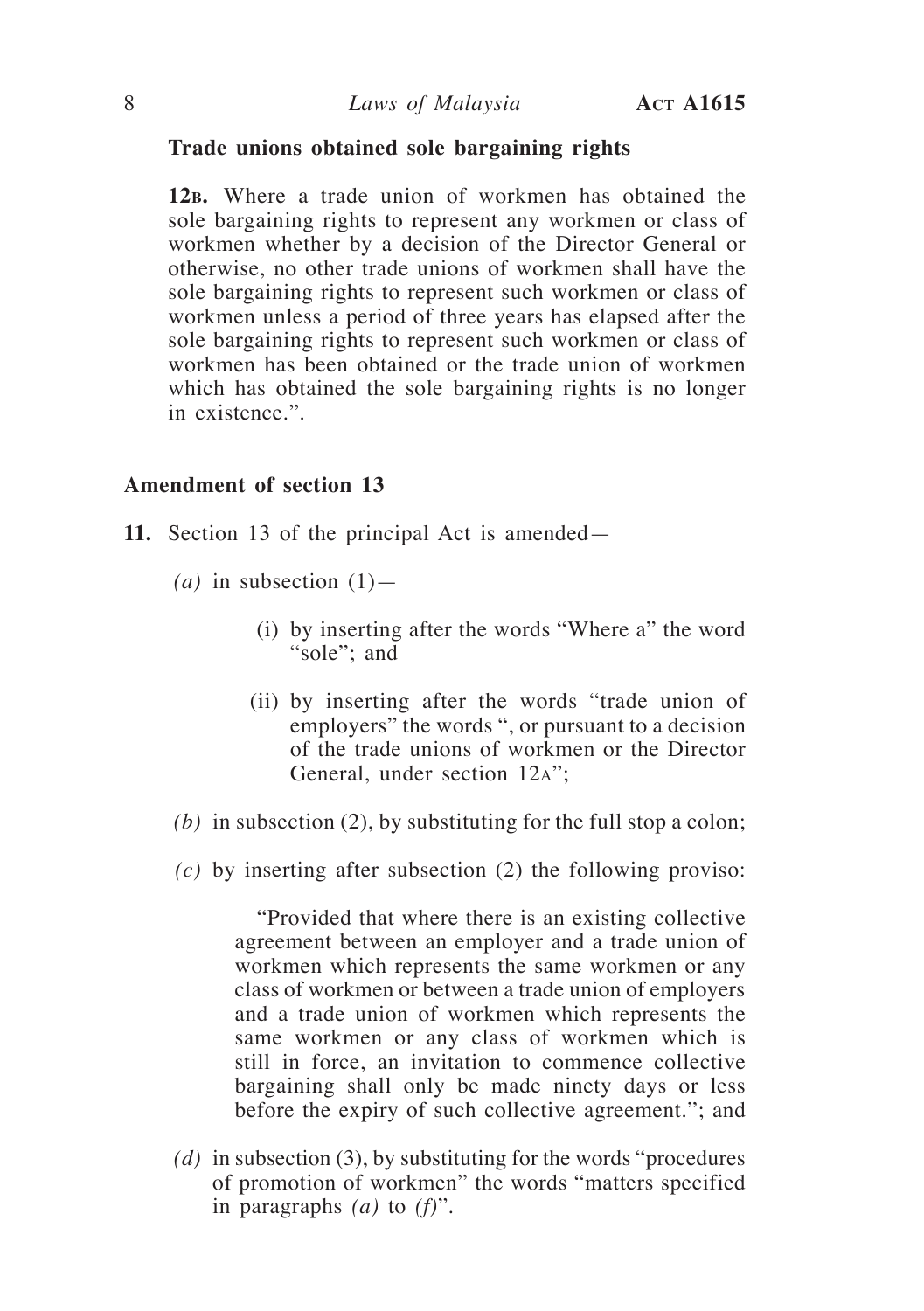#### **Trade unions obtained sole bargaining rights**

**12b.** Where a trade union of workmen has obtained the sole bargaining rights to represent any workmen or class of workmen whether by a decision of the Director General or otherwise, no other trade unions of workmen shall have the sole bargaining rights to represent such workmen or class of workmen unless a period of three years has elapsed after the sole bargaining rights to represent such workmen or class of workmen has been obtained or the trade union of workmen which has obtained the sole bargaining rights is no longer in existence.".

#### **Amendment of section 13**

- **11.** Section 13 of the principal Act is amended—
	- $(a)$  in subsection  $(1)$ 
		- (i) by inserting after the words "Where a" the word "sole"; and
		- (ii) by inserting after the words "trade union of employers" the words ", or pursuant to a decision of the trade unions of workmen or the Director General, under section 12a";
	- *(b)* in subsection (2), by substituting for the full stop a colon;
	- *(c)* by inserting after subsection (2) the following proviso:

"Provided that where there is an existing collective agreement between an employer and a trade union of workmen which represents the same workmen or any class of workmen or between a trade union of employers and a trade union of workmen which represents the same workmen or any class of workmen which is still in force, an invitation to commence collective bargaining shall only be made ninety days or less before the expiry of such collective agreement."; and

*(d)* in subsection (3), by substituting for the words "procedures of promotion of workmen" the words "matters specified in paragraphs *(a)* to *(f)*".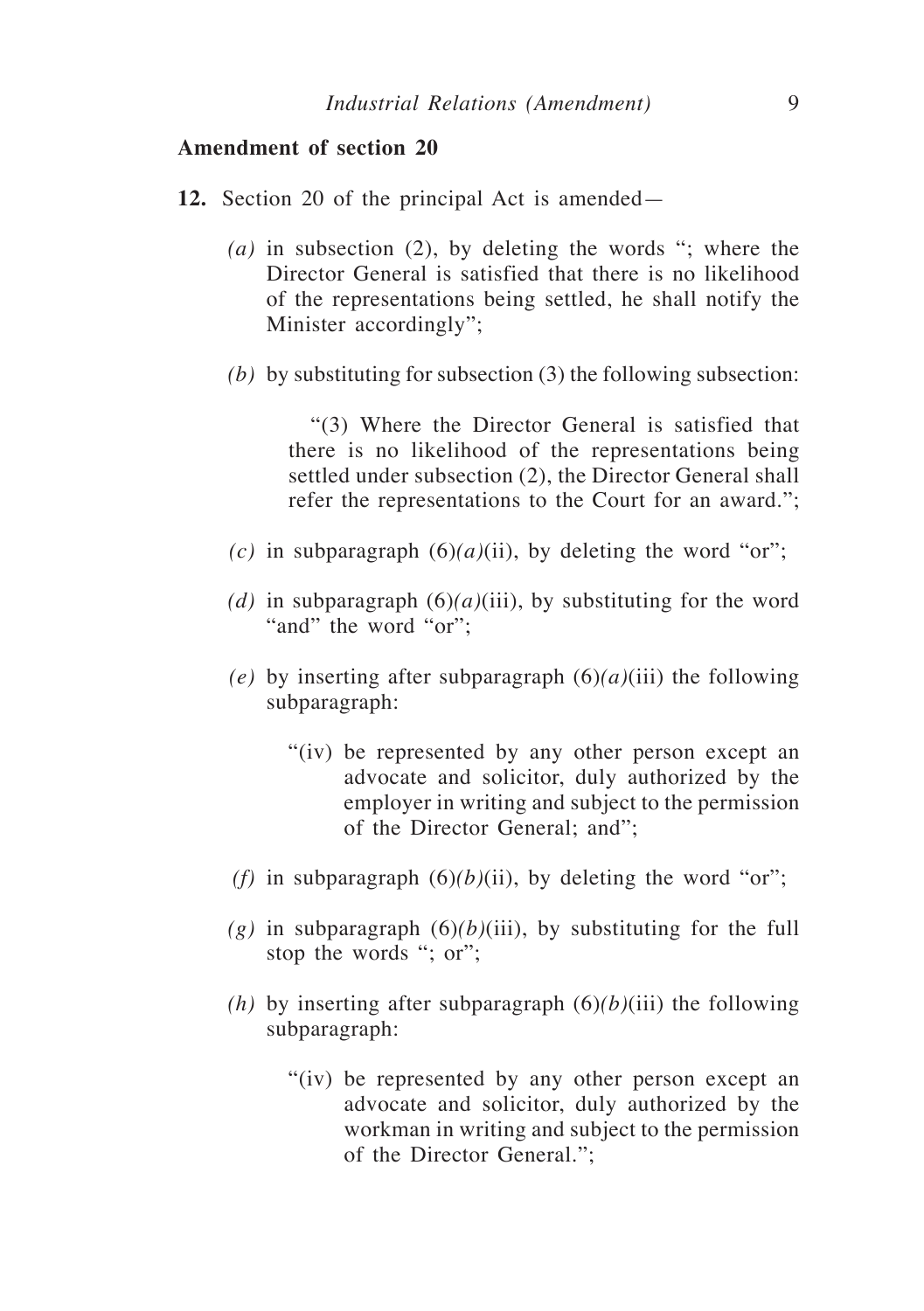- **12.** Section 20 of the principal Act is amended—
	- *(a)* in subsection (2), by deleting the words "; where the Director General is satisfied that there is no likelihood of the representations being settled, he shall notify the Minister accordingly";
	- *(b)* by substituting for subsection (3) the following subsection:

"(3) Where the Director General is satisfied that there is no likelihood of the representations being settled under subsection (2), the Director General shall refer the representations to the Court for an award.";

- *(c)* in subparagraph  $(6)(a)(ii)$ , by deleting the word "or";
- (d) in subparagraph  $(6)(a)(iii)$ , by substituting for the word "and" the word "or";
- *(e)* by inserting after subparagraph  $(6)(a)(iii)$  the following subparagraph:
	- "(iv) be represented by any other person except an advocate and solicitor, duly authorized by the employer in writing and subject to the permission of the Director General; and";
- *(f)* in subparagraph  $(6)(b)(ii)$ , by deleting the word "or";
- $(g)$  in subparagraph  $(6)(b)(iii)$ , by substituting for the full stop the words "; or";
- *(h)* by inserting after subparagraph  $(6)(b)(iii)$  the following subparagraph:
	- "(iv) be represented by any other person except an advocate and solicitor, duly authorized by the workman in writing and subject to the permission of the Director General.";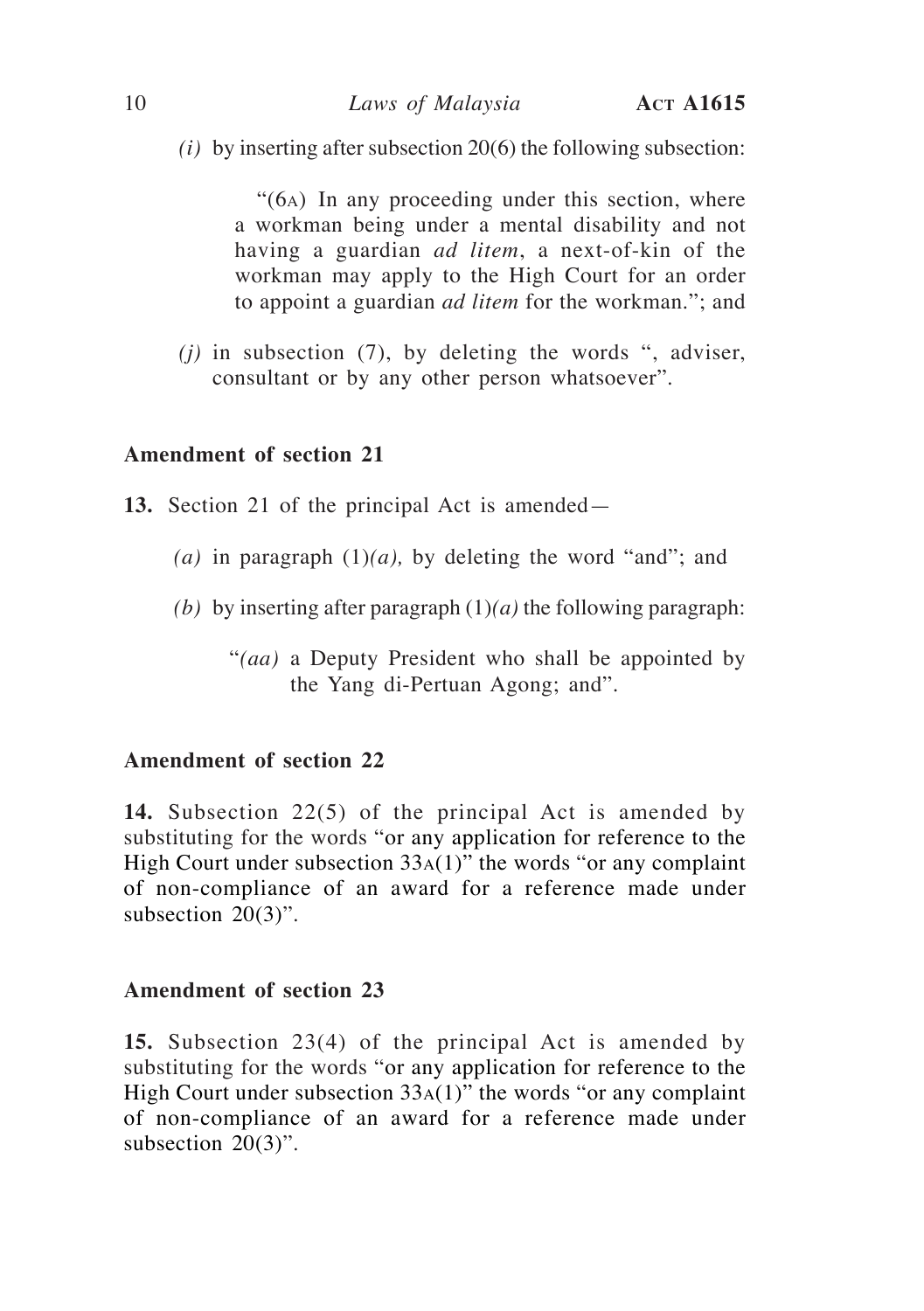*(i)* by inserting after subsection 20(6) the following subsection:

"(6a) In any proceeding under this section, where a workman being under a mental disability and not having a guardian *ad litem*, a next-of-kin of the workman may apply to the High Court for an order to appoint a guardian *ad litem* for the workman."; and

*(j)* in subsection (7), by deleting the words ", adviser, consultant or by any other person whatsoever".

## **Amendment of section 21**

- **13.** Section 21 of the principal Act is amended—
	- (a) in paragraph  $(1)(a)$ , by deleting the word "and"; and
	- *(b)* by inserting after paragraph  $(1)(a)$  the following paragraph:
		- "*(aa)* a Deputy President who shall be appointed by the Yang di-Pertuan Agong; and".

## **Amendment of section 22**

**14.** Subsection 22(5) of the principal Act is amended by substituting for the words "or any application for reference to the High Court under subsection  $33A(1)$ " the words "or any complaint of non-compliance of an award for a reference made under subsection  $20(3)$ ".

## **Amendment of section 23**

**15.** Subsection 23(4) of the principal Act is amended by substituting for the words "or any application for reference to the High Court under subsection 33a(1)" the words "or any complaint of non-compliance of an award for a reference made under subsection 20(3)".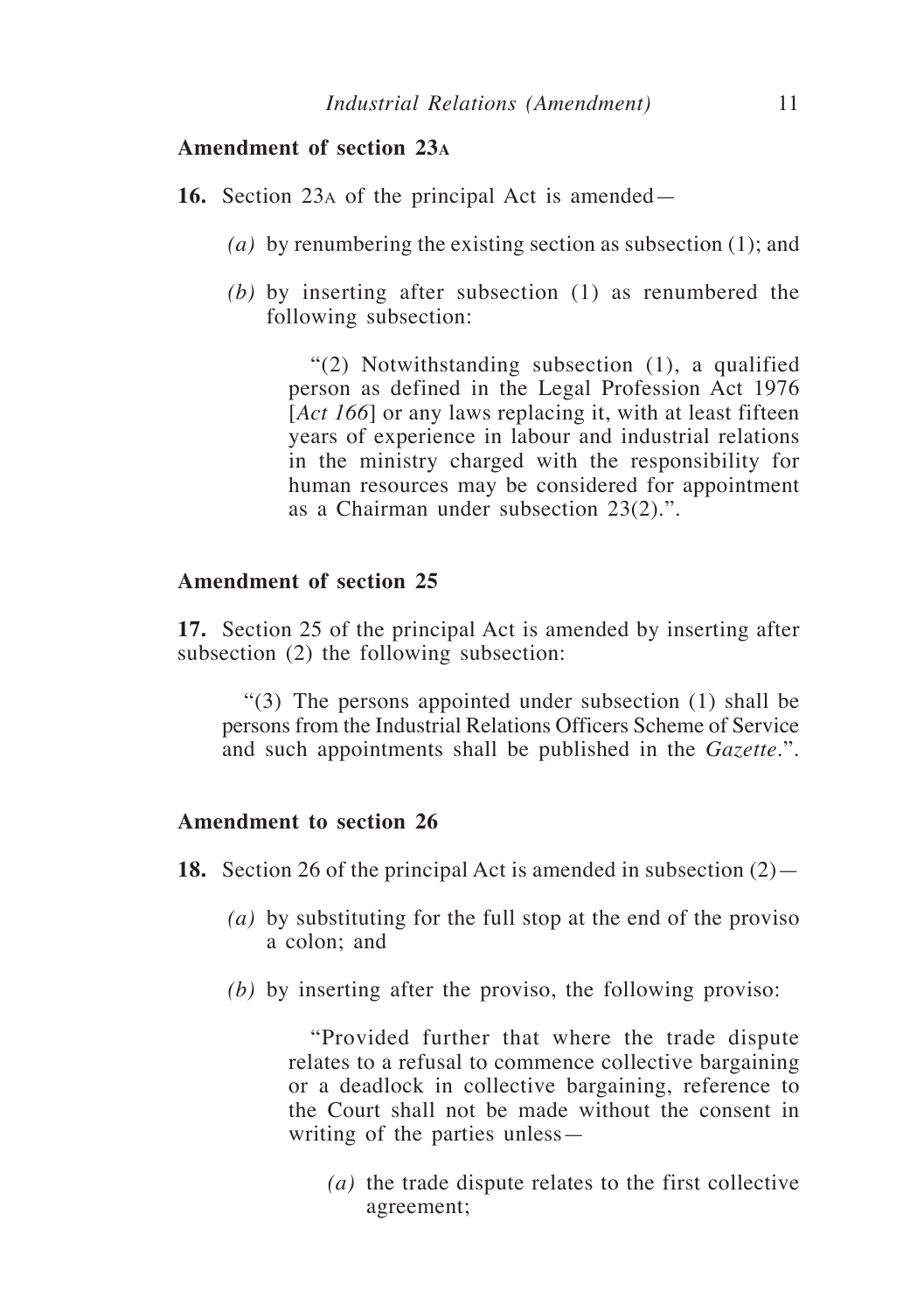- **16.** Section 23a of the principal Act is amended—
	- *(a)* by renumbering the existing section as subsection (1); and
	- *(b)* by inserting after subsection (1) as renumbered the following subsection:

"(2) Notwithstanding subsection (1), a qualified person as defined in the Legal Profession Act 1976 [*Act 166*] or any laws replacing it, with at least fifteen years of experience in labour and industrial relations in the ministry charged with the responsibility for human resources may be considered for appointment as a Chairman under subsection 23(2).".

## **Amendment of section 25**

**17.** Section 25 of the principal Act is amended by inserting after subsection (2) the following subsection:

"(3) The persons appointed under subsection (1) shall be persons from the Industrial Relations Officers Scheme of Service and such appointments shall be published in the *Gazette*.".

## **Amendment to section 26**

**18.** Section 26 of the principal Act is amended in subsection (2)—

- *(a)* by substituting for the full stop at the end of the proviso a colon; and
- *(b)* by inserting after the proviso, the following proviso:

"Provided further that where the trade dispute relates to a refusal to commence collective bargaining or a deadlock in collective bargaining, reference to the Court shall not be made without the consent in writing of the parties unless—

*(a)* the trade dispute relates to the first collective agreement;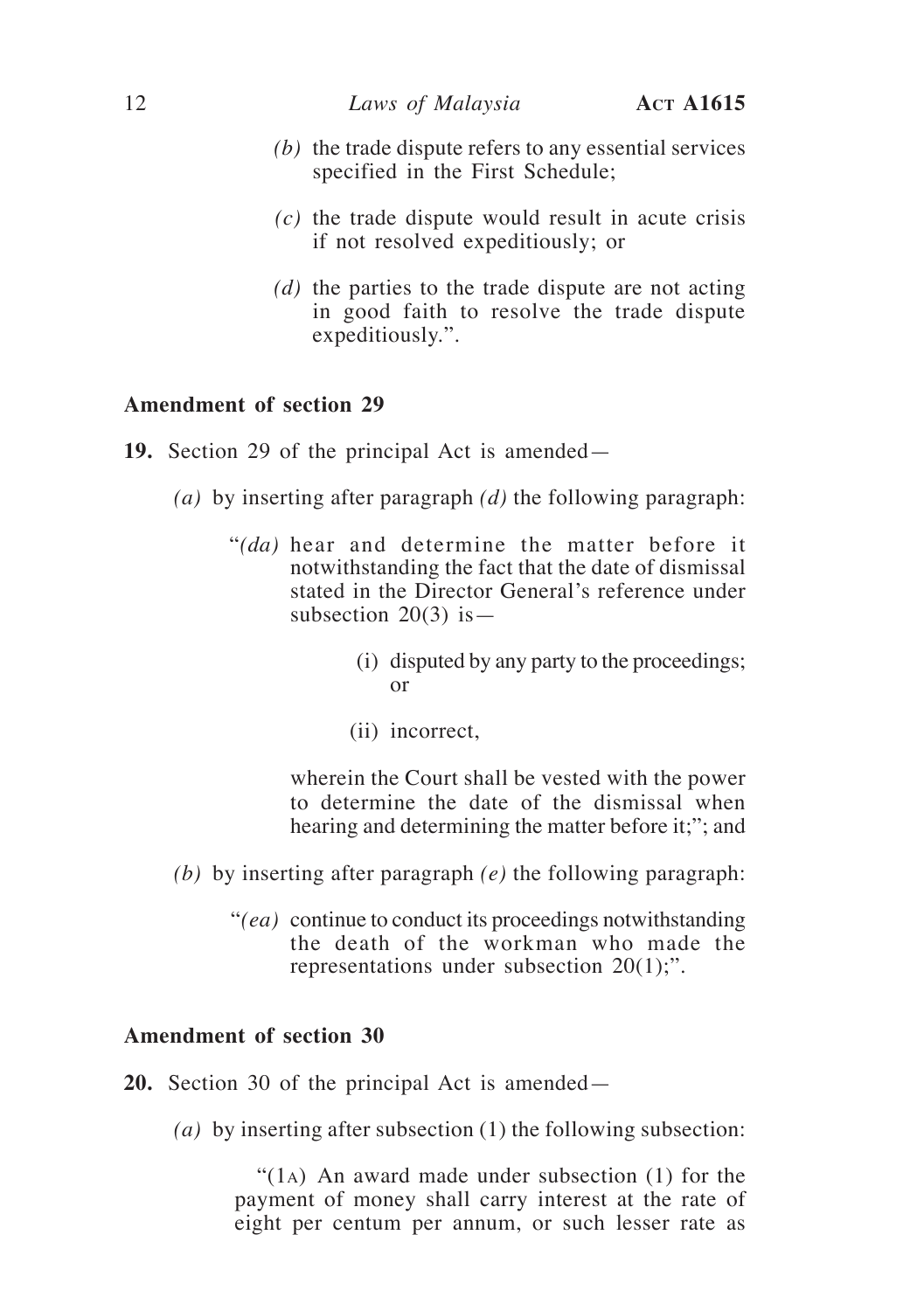- *(b)* the trade dispute refers to any essential services specified in the First Schedule;
- *(c)* the trade dispute would result in acute crisis if not resolved expeditiously; or
- *(d)* the parties to the trade dispute are not acting in good faith to resolve the trade dispute expeditiously.".

- **19.** Section 29 of the principal Act is amended—
	- *(a)* by inserting after paragraph *(d)* the following paragraph:
		- "*(da)* hear and determine the matter before it notwithstanding the fact that the date of dismissal stated in the Director General's reference under subsection  $20(3)$  is  $-$ 
			- (i) disputed by any party to the proceedings; or
			- (ii) incorrect,

wherein the Court shall be vested with the power to determine the date of the dismissal when hearing and determining the matter before it;"; and

- *(b)* by inserting after paragraph *(e)* the following paragraph:
	- "*(ea)* continue to conduct its proceedings notwithstanding the death of the workman who made the representations under subsection 20(1);".

#### **Amendment of section 30**

**20.** Section 30 of the principal Act is amended—

*(a)* by inserting after subsection (1) the following subsection:

"(1<sub>A</sub>) An award made under subsection  $(1)$  for the payment of money shall carry interest at the rate of eight per centum per annum, or such lesser rate as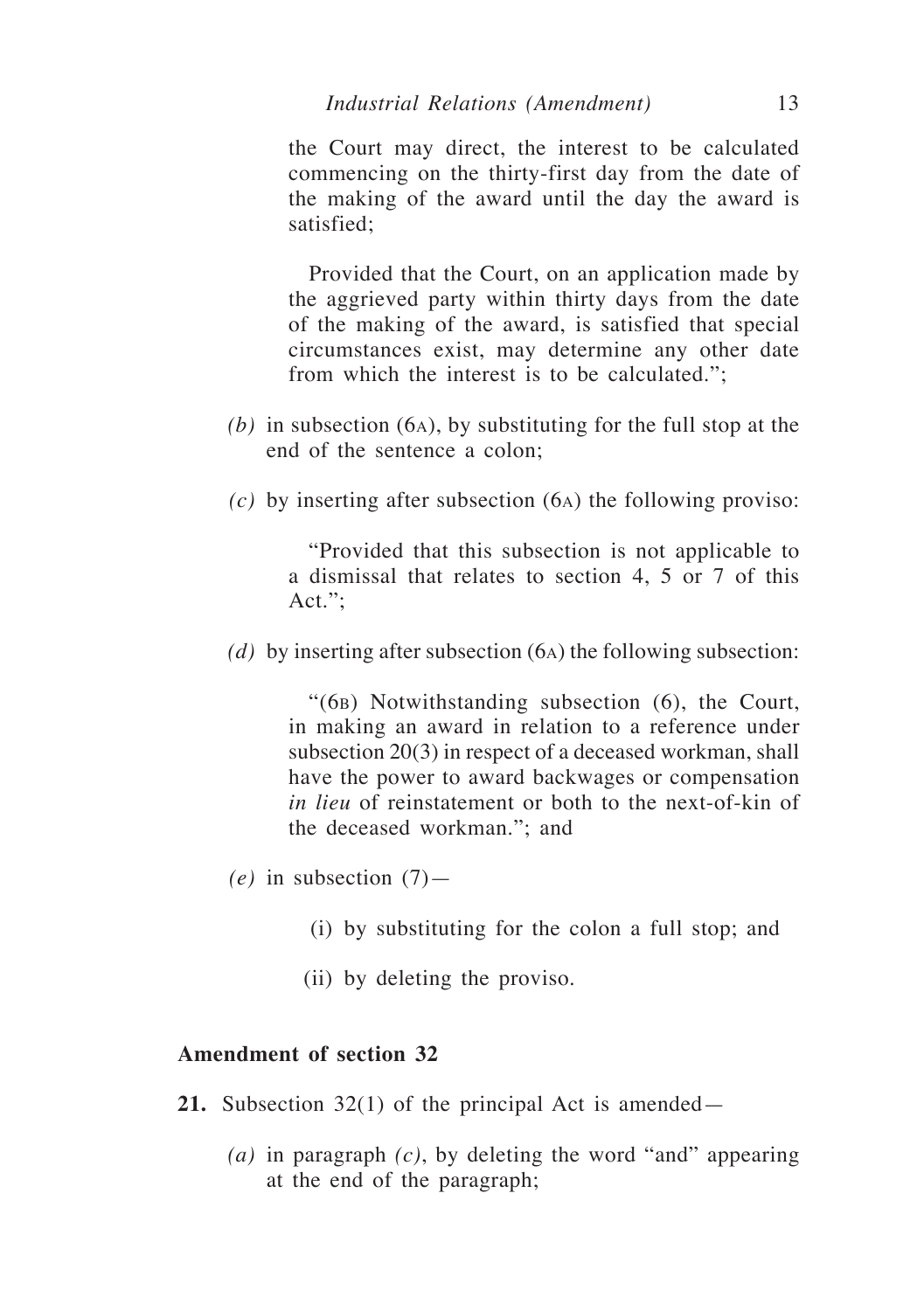the Court may direct, the interest to be calculated commencing on the thirty-first day from the date of the making of the award until the day the award is satisfied;

Provided that the Court, on an application made by the aggrieved party within thirty days from the date of the making of the award, is satisfied that special circumstances exist, may determine any other date from which the interest is to be calculated.";

- *(b)* in subsection (6a), by substituting for the full stop at the end of the sentence a colon;
- *(c)* by inserting after subsection (6a) the following proviso:

"Provided that this subsection is not applicable to a dismissal that relates to section 4, 5 or 7 of this Act.";

*(d)* by inserting after subsection (6a) the following subsection:

"(6b) Notwithstanding subsection (6), the Court, in making an award in relation to a reference under subsection 20(3) in respect of a deceased workman, shall have the power to award backwages or compensation *in lieu* of reinstatement or both to the next-of-kin of the deceased workman."; and

- $(e)$  in subsection  $(7)$ 
	- (i) by substituting for the colon a full stop; and
	- (ii) by deleting the proviso.

- **21.** Subsection 32(1) of the principal Act is amended—
	- *(a)* in paragraph *(c)*, by deleting the word "and" appearing at the end of the paragraph;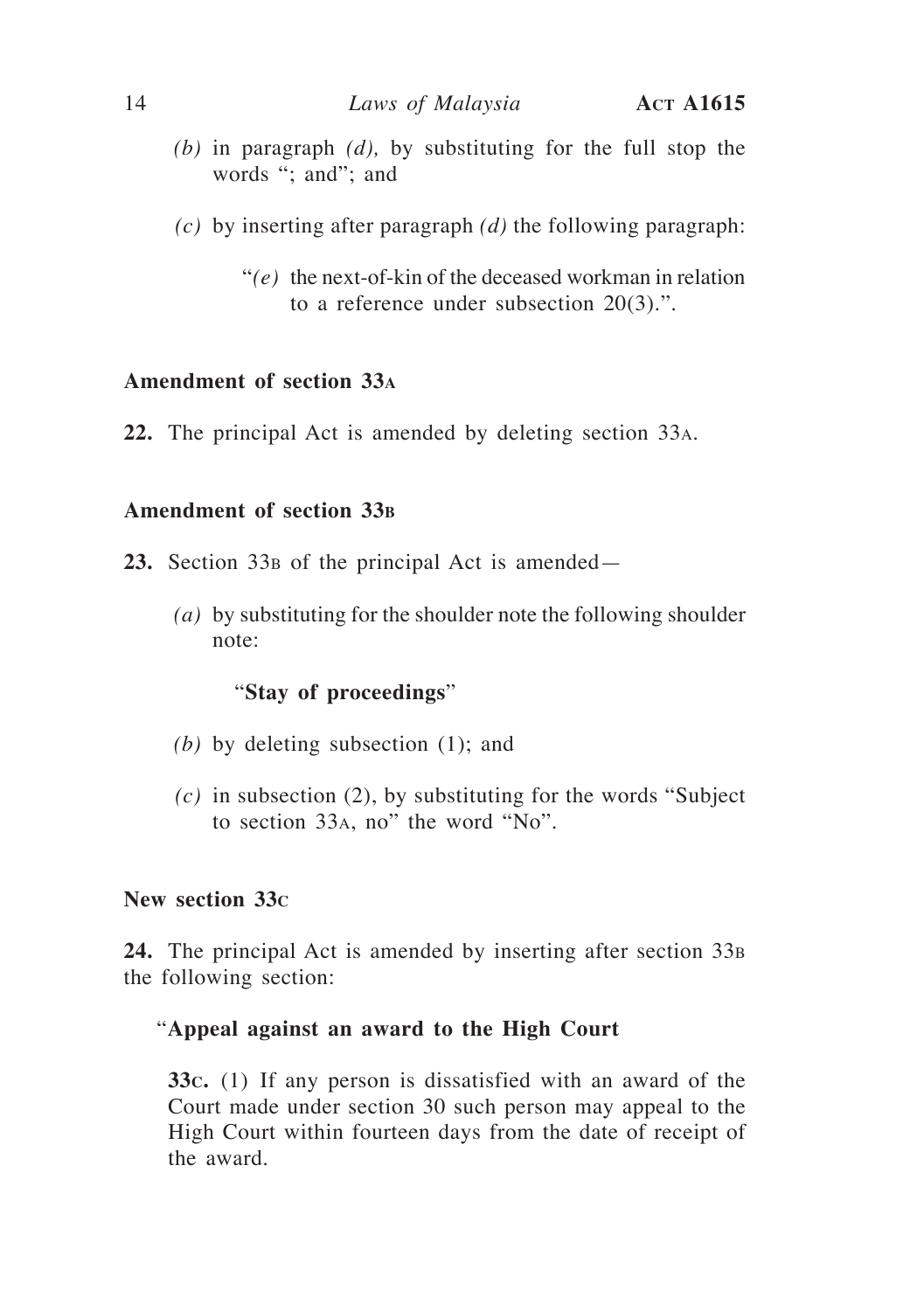- *(b)* in paragraph *(d),* by substituting for the full stop the words "; and"; and
- *(c)* by inserting after paragraph *(d)* the following paragraph:
	- "*(e)* the next-of-kin of the deceased workman in relation to a reference under subsection 20(3).".

**22.** The principal Act is amended by deleting section 33a.

## **Amendment of section 33<sup>b</sup>**

- 23. Section 33<sub>B</sub> of the principal Act is amended—
	- *(a)* by substituting for the shoulder note the following shoulder note:

## "**Stay of proceedings**"

- *(b)* by deleting subsection (1); and
- *(c)* in subsection (2), by substituting for the words "Subject to section 33a, no" the word "No".

#### **New section 33c**

**24.** The principal Act is amended by inserting after section 33<sup>b</sup> the following section:

## "**Appeal against an award to the High Court**

**33c.** (1) If any person is dissatisfied with an award of the Court made under section 30 such person may appeal to the High Court within fourteen days from the date of receipt of the award.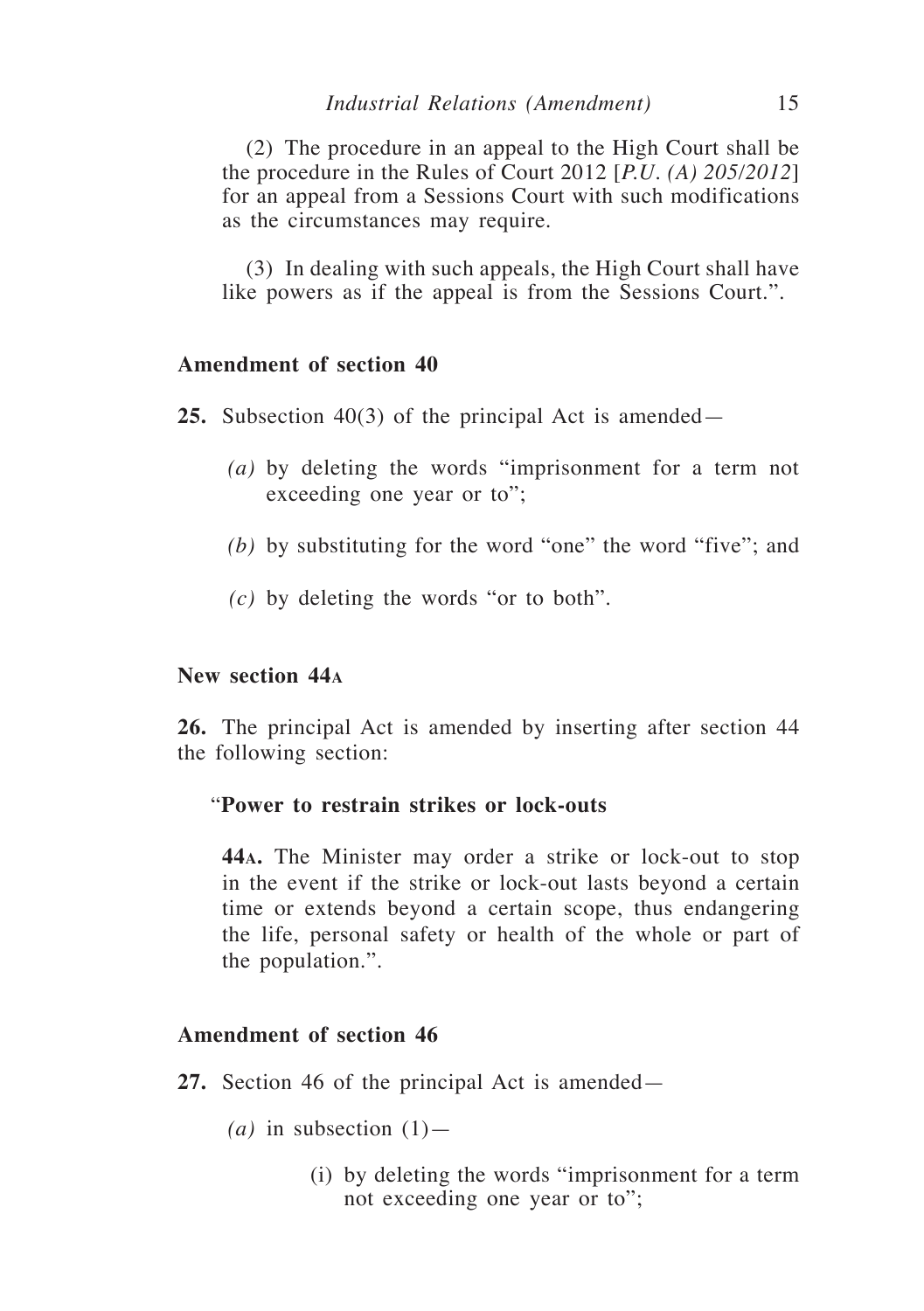(2) The procedure in an appeal to the High Court shall be the procedure in the Rules of Court 2012 [*P.U. (A) 205/2012*] for an appeal from a Sessions Court with such modifications as the circumstances may require.

(3) In dealing with such appeals, the High Court shall have like powers as if the appeal is from the Sessions Court.".

## **Amendment of section 40**

**25.** Subsection 40(3) of the principal Act is amended—

- *(a)* by deleting the words "imprisonment for a term not exceeding one year or to";
- *(b)* by substituting for the word "one" the word "five"; and
- *(c)* by deleting the words "or to both".

#### **New section 44<sup>a</sup>**

**26.** The principal Act is amended by inserting after section 44 the following section:

## "**Power to restrain strikes or lock-outs**

**44a.** The Minister may order a strike or lock-out to stop in the event if the strike or lock-out lasts beyond a certain time or extends beyond a certain scope, thus endangering the life, personal safety or health of the whole or part of the population.".

- **27.** Section 46 of the principal Act is amended—
	- $(a)$  in subsection  $(1)$ 
		- (i) by deleting the words "imprisonment for a term not exceeding one year or to";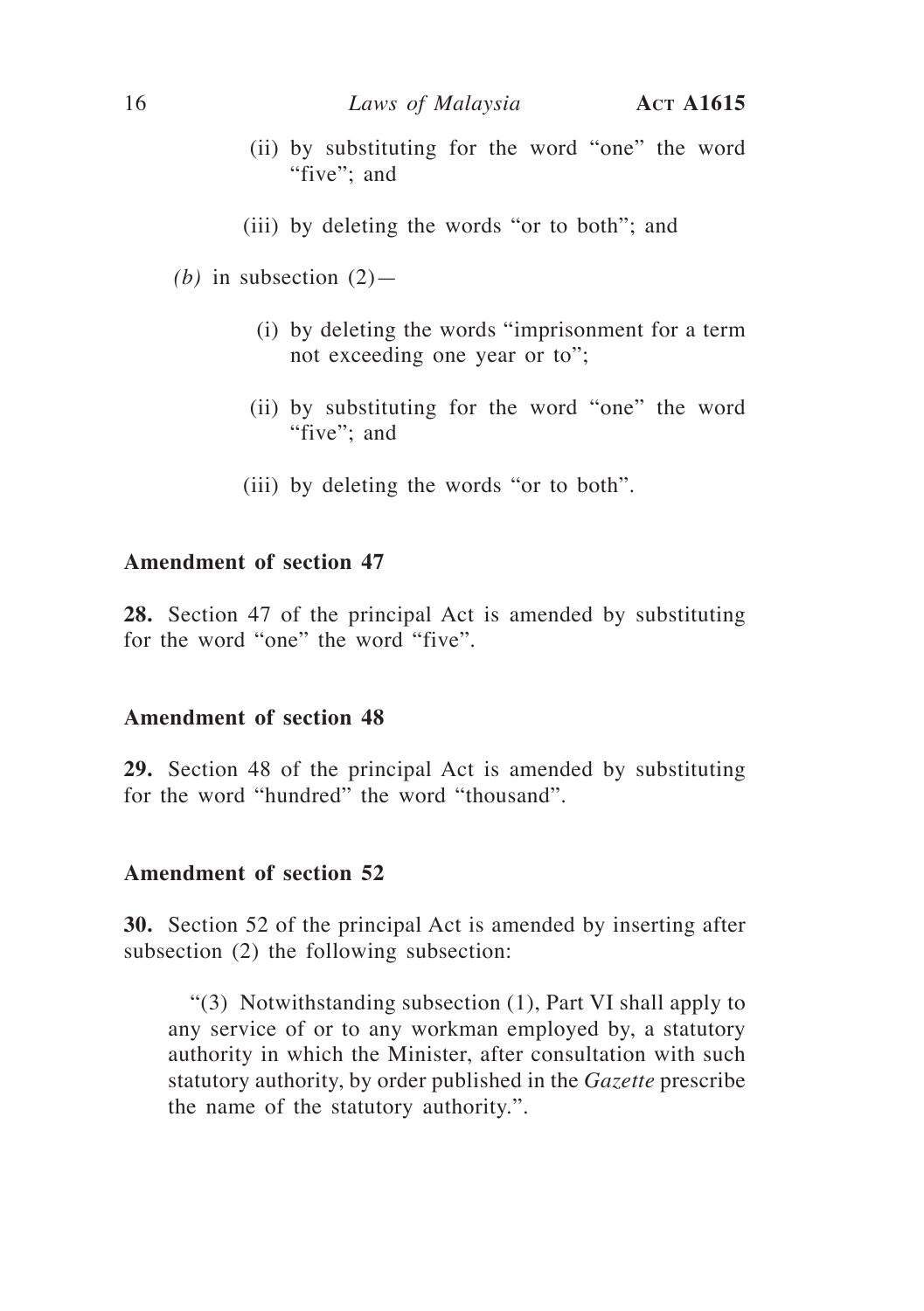- (ii) by substituting for the word "one" the word "five"; and
- (iii) by deleting the words "or to both"; and
- *(b)* in subsection  $(2)$ 
	- (i) by deleting the words "imprisonment for a term not exceeding one year or to";
	- (ii) by substituting for the word "one" the word "five"; and
	- (iii) by deleting the words "or to both".

**28.** Section 47 of the principal Act is amended by substituting for the word "one" the word "five".

#### **Amendment of section 48**

**29.** Section 48 of the principal Act is amended by substituting for the word "hundred" the word "thousand".

## **Amendment of section 52**

**30.** Section 52 of the principal Act is amended by inserting after subsection (2) the following subsection:

"(3) Notwithstanding subsection (1), Part VI shall apply to any service of or to any workman employed by, a statutory authority in which the Minister, after consultation with such statutory authority, by order published in the *Gazette* prescribe the name of the statutory authority.".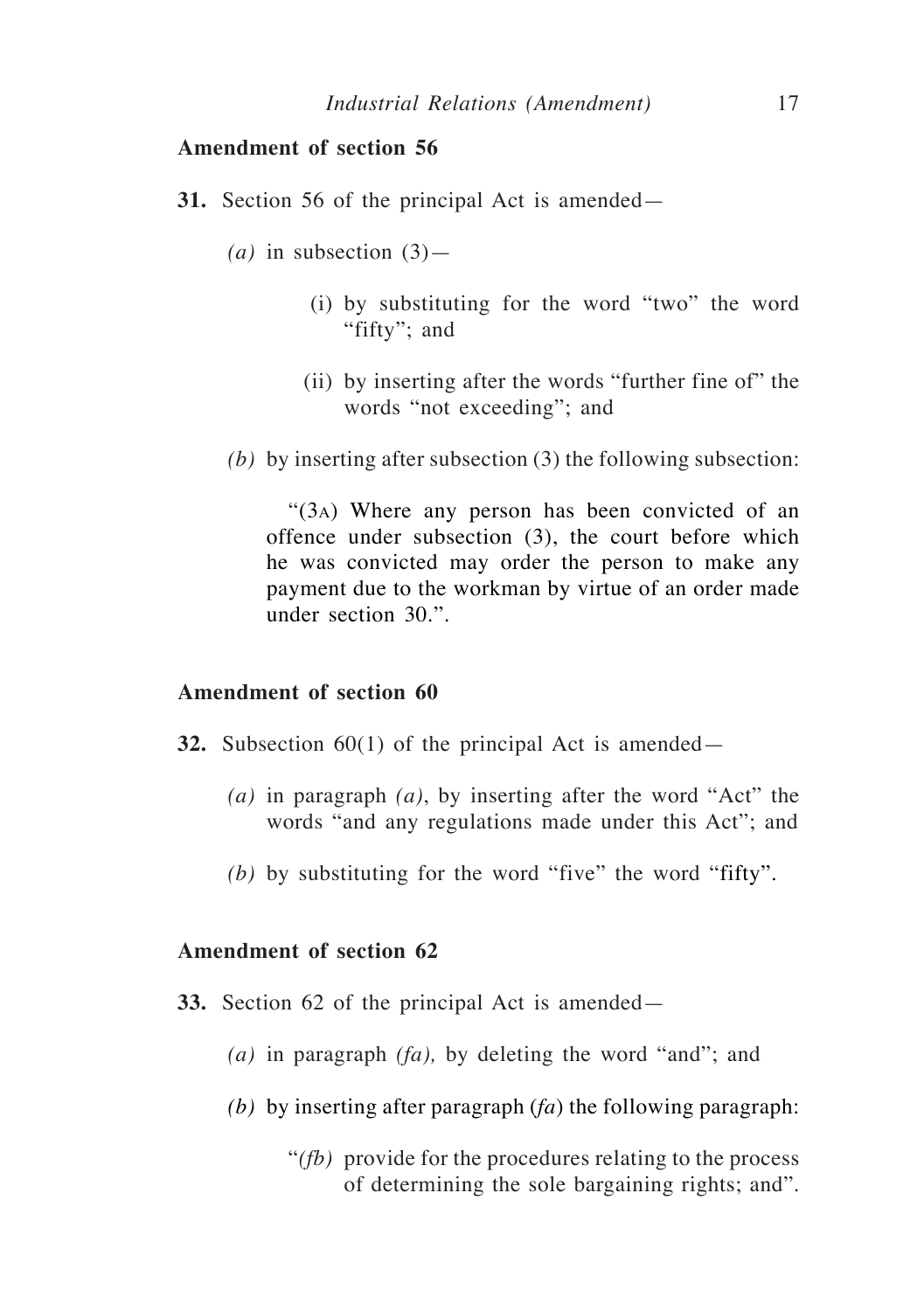- **31.** Section 56 of the principal Act is amended—
	- *(a)* in subsection (3)—
		- (i) by substituting for the word "two" the word "fifty"; and
		- (ii) by inserting after the words "further fine of" the words "not exceeding"; and
	- *(b)* by inserting after subsection (3) the following subsection:

"(3a) Where any person has been convicted of an offence under subsection (3), the court before which he was convicted may order the person to make any payment due to the workman by virtue of an order made under section 30.".

#### **Amendment of section 60**

- **32.** Subsection 60(1) of the principal Act is amended—
	- *(a)* in paragraph *(a)*, by inserting after the word "Act" the words "and any regulations made under this Act"; and
	- *(b)* by substituting for the word "five" the word "fifty".

- **33.** Section 62 of the principal Act is amended—
	- *(a)* in paragraph *(fa),* by deleting the word "and"; and
	- *(b)* by inserting after paragraph (*fa*) the following paragraph:
		- "*(fb)* provide for the procedures relating to the process of determining the sole bargaining rights; and".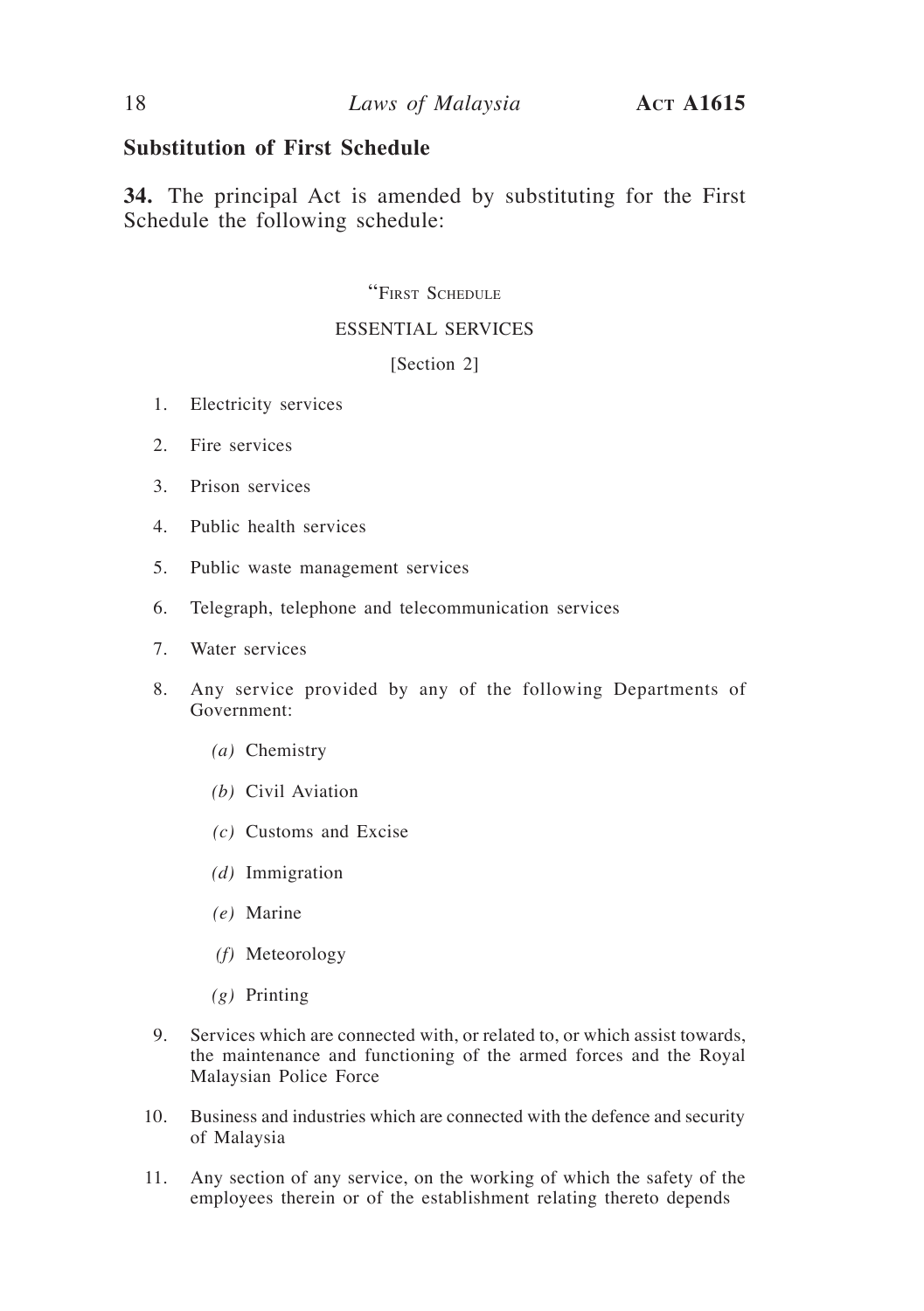## **Substitution of First Schedule**

**34.** The principal Act is amended by substituting for the First Schedule the following schedule:

#### "First Schedule

#### ESSENTIAL SERVICES

#### [Section 2]

- 1. Electricity services
- 2. Fire services
- 3. Prison services
- 4. Public health services
- 5. Public waste management services
- 6. Telegraph, telephone and telecommunication services
- 7. Water services
- 8. Any service provided by any of the following Departments of Government:
	- *(a)* Chemistry
	- *(b)* Civil Aviation
	- *(c)* Customs and Excise
	- *(d)* Immigration
	- *(e)* Marine
	- *(f)* Meteorology
	- *(g)* Printing
- 9. Services which are connected with, or related to, or which assist towards, the maintenance and functioning of the armed forces and the Royal Malaysian Police Force
- 10. Business and industries which are connected with the defence and security of Malaysia
- 11. Any section of any service, on the working of which the safety of the employees therein or of the establishment relating thereto depends